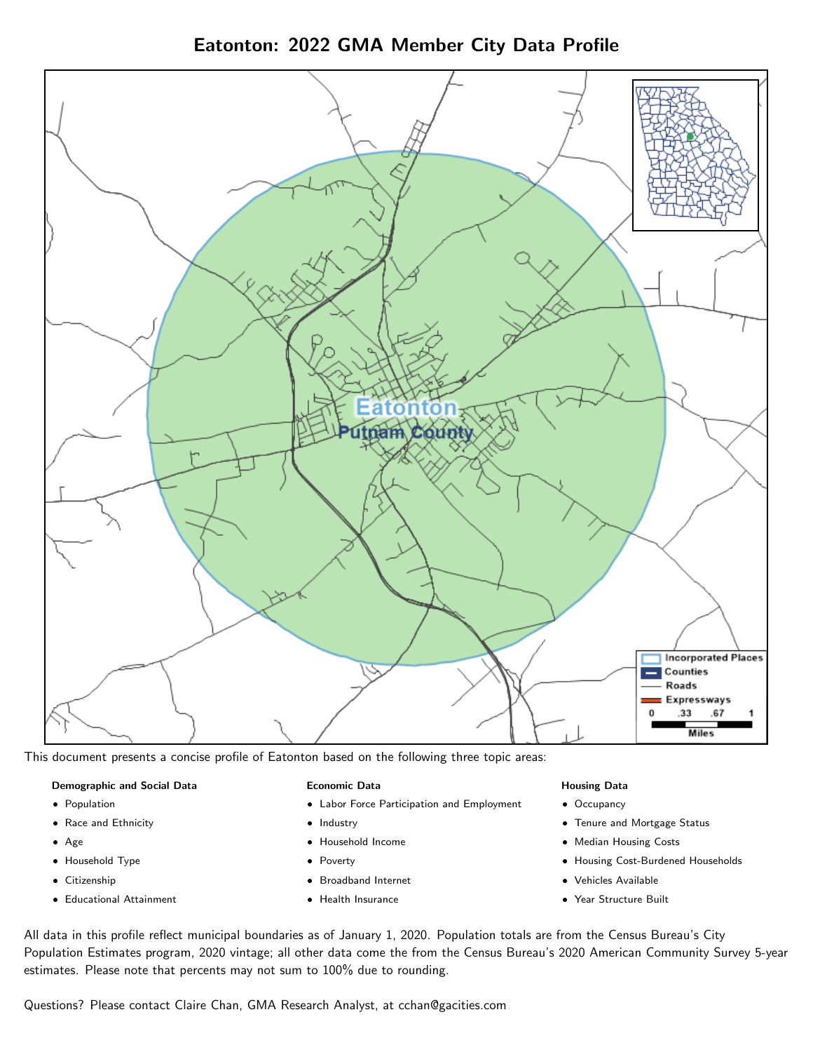Eatonton: 2022 GMA Member City Data Profile



This document presents a concise profile of Eatonton based on the following three topic areas:

### Demographic and Social Data

- **•** Population
- Race and Ethnicity
- Age
- Household Type
- **Citizenship**
- Educational Attainment

### Economic Data

- Labor Force Participation and Employment
- Industry
- Household Income
- Poverty
- Broadband Internet
- Health Insurance

### Housing Data

- Occupancy
- Tenure and Mortgage Status
- Median Housing Costs
- Housing Cost-Burdened Households
- Vehicles Available
- $\bullet$ Year Structure Built

All data in this profile reflect municipal boundaries as of January 1, 2020. Population totals are from the Census Bureau's City Population Estimates program, 2020 vintage; all other data come the from the Census Bureau's 2020 American Community Survey 5-year estimates. Please note that percents may not sum to 100% due to rounding.

Questions? Please contact Claire Chan, GMA Research Analyst, at [cchan@gacities.com.](mailto:cchan@gacities.com)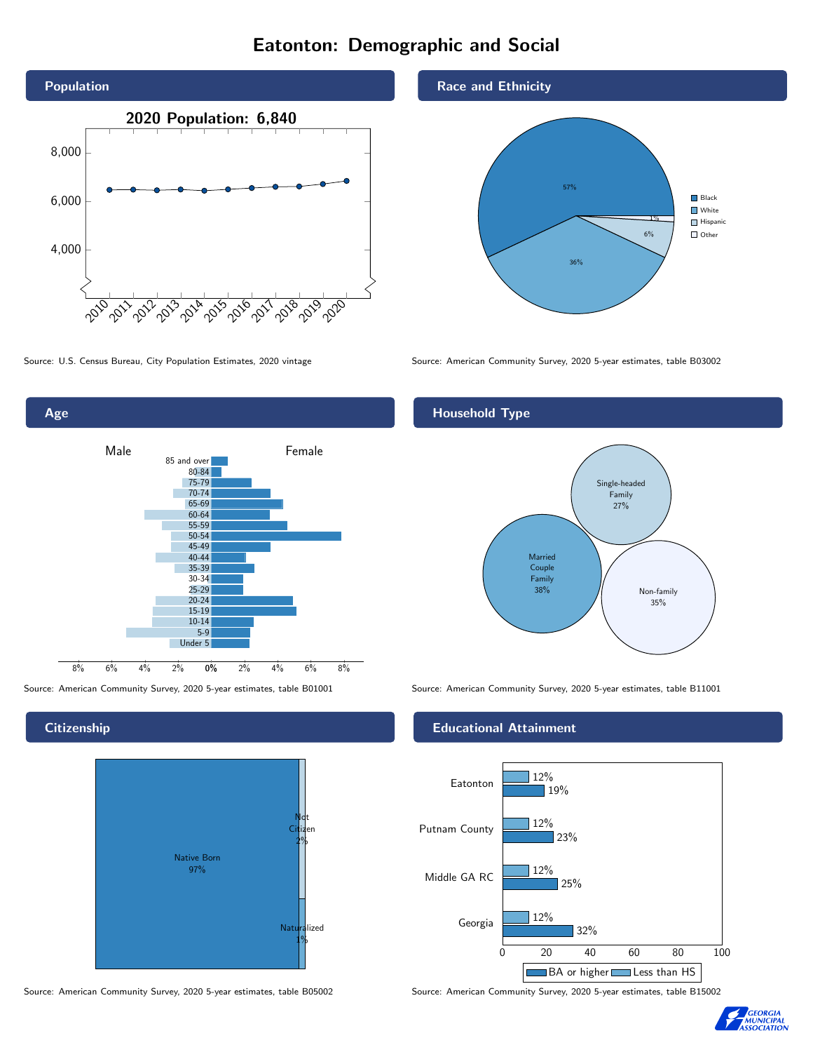# Eatonton: Demographic and Social





**Citizenship** 



Source: American Community Survey, 2020 5-year estimates, table B05002 Source: American Community Survey, 2020 5-year estimates, table B15002





Source: U.S. Census Bureau, City Population Estimates, 2020 vintage Source: American Community Survey, 2020 5-year estimates, table B03002

# Household Type



Source: American Community Survey, 2020 5-year estimates, table B01001 Source: American Community Survey, 2020 5-year estimates, table B11001

## Educational Attainment



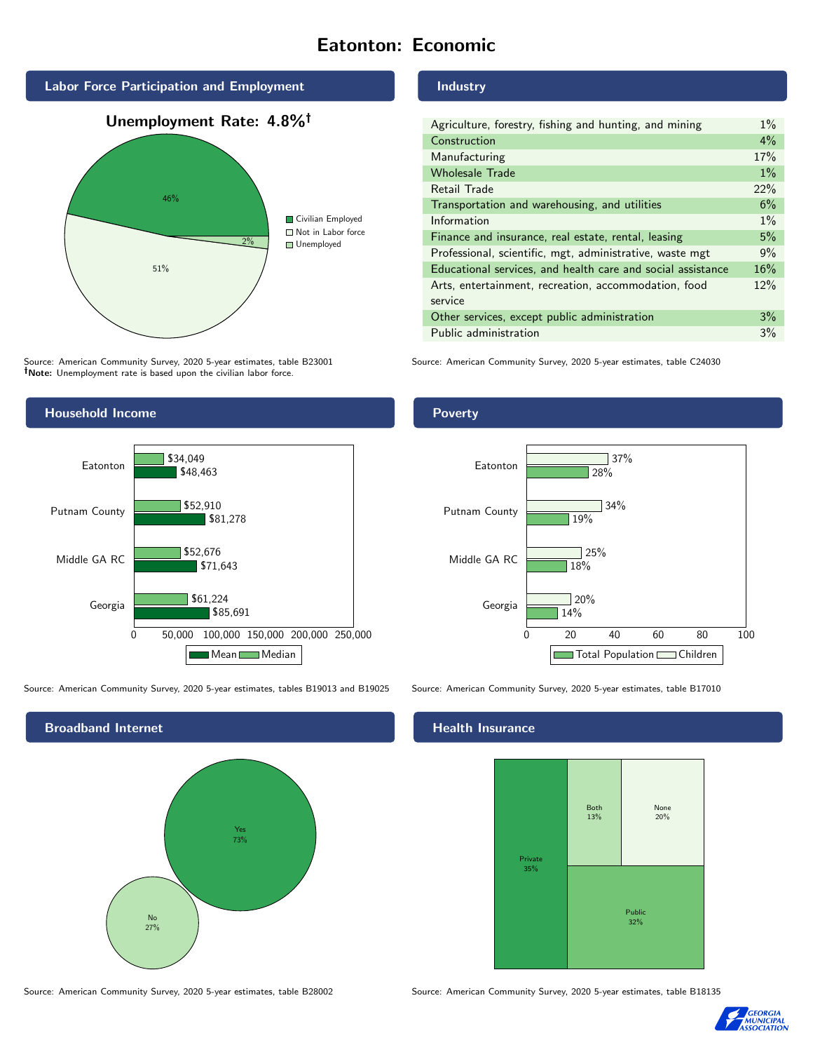# Eatonton: Economic



Source: American Community Survey, 2020 5-year estimates, table B23001 Note: Unemployment rate is based upon the civilian labor force.



Source: American Community Survey, 2020 5-year estimates, tables B19013 and B19025 Source: American Community Survey, 2020 5-year estimates, table B17010



#### Middle GA RC

# Industry

| Agriculture, forestry, fishing and hunting, and mining      | $1\%$ |
|-------------------------------------------------------------|-------|
| Construction                                                | 4%    |
| Manufacturing                                               | 17%   |
| <b>Wholesale Trade</b>                                      | $1\%$ |
| Retail Trade                                                | 22%   |
| Transportation and warehousing, and utilities               | 6%    |
| Information                                                 | $1\%$ |
| Finance and insurance, real estate, rental, leasing         | 5%    |
| Professional, scientific, mgt, administrative, waste mgt    | 9%    |
| Educational services, and health care and social assistance | 16%   |
| Arts, entertainment, recreation, accommodation, food        | 12%   |
| service                                                     |       |
| Other services, except public administration                | 3%    |
| Public administration                                       | 3%    |

Source: American Community Survey, 2020 5-year estimates, table C24030

### Poverty



## Health Insurance



Source: American Community Survey, 2020 5-year estimates, table B28002 Source: American Community Survey, 2020 5-year estimates, table B18135